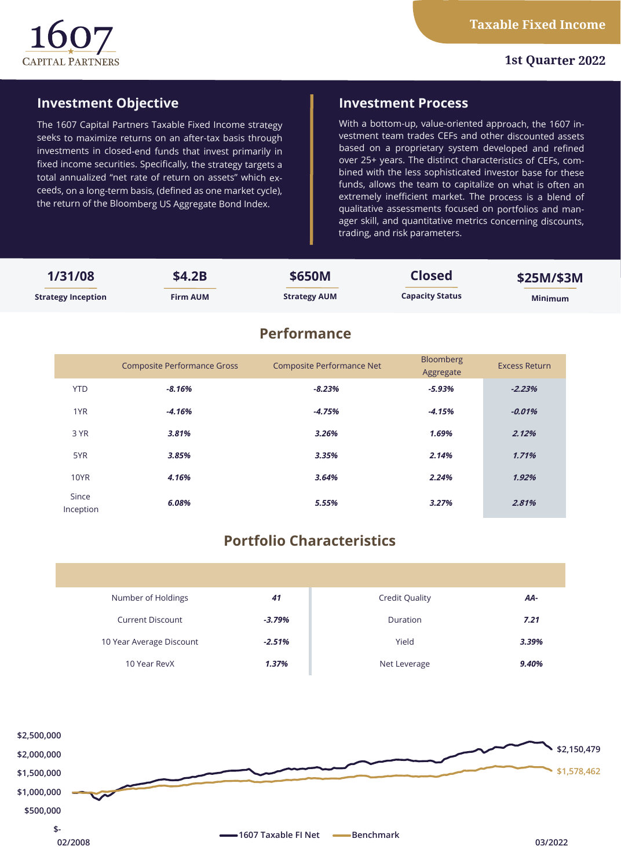

## **1st Quarter 2022**

# **Investment Objective**

The 1607 Capital Partners Taxable Fixed Income strategy seeks to maximize returns on an after-tax basis through investments in closed-end funds that invest primarily in fixed income securities. Specifically, the strategy targets a total annualized "net rate of return on assets" which exceeds, on a long-term basis, (defined as one market cycle), the return of the Bloomberg US Aggregate Bond Index.

## **Investment Process**

With a bottom-up, value-oriented approach, the 1607 investment team trades CEFs and other discounted assets based on a proprietary system developed and refined over 25+ years. The distinct characteristics of CEFs, combined with the less sophisticated investor base for these funds, allows the team to capitalize on what is often an extremely inefficient market. The process is a blend of qualitative assessments focused on portfolios and manager skill, and quantitative metrics concerning discounts, trading, and risk parameters.

| 1/31/08                   | \$4.2B          | \$650M              | <b>Closed</b>          | \$25M/\$3M     |
|---------------------------|-----------------|---------------------|------------------------|----------------|
| <b>Strategy Inception</b> | <b>Firm AUM</b> | <b>Strategy AUM</b> | <b>Capacity Status</b> | <b>Minimum</b> |
|                           |                 | <b>Performance</b>  |                        |                |

|                    | <b>Composite Performance Gross</b> | <b>Composite Performance Net</b> | Bloomberg<br>Aggregate | <b>Excess Return</b> |
|--------------------|------------------------------------|----------------------------------|------------------------|----------------------|
| <b>YTD</b>         | $-8.16%$                           | $-8.23%$                         | $-5.93%$               | $-2.23%$             |
| 1YR                | $-4.16%$                           | $-4.75%$                         | $-4.15%$               | $-0.01%$             |
| 3 YR               | 3.81%                              | 3.26%                            | 1.69%                  | 2.12%                |
| 5YR                | 3.85%                              | 3.35%                            | 2.14%                  | 1.71%                |
| <b>10YR</b>        | 4.16%                              | 3.64%                            | 2.24%                  | 1.92%                |
| Since<br>Inception | 6.08%                              | 5.55%                            | 3.27%                  | 2.81%                |

# **Portfolio Characteristics**

| Number of Holdings       | 41       | <b>Credit Quality</b> | AA-   |
|--------------------------|----------|-----------------------|-------|
| <b>Current Discount</b>  | $-3.79%$ | Duration              | 7.21  |
| 10 Year Average Discount | $-2.51%$ | Yield                 | 3.39% |
| 10 Year RevX             | 1.37%    | Net Leverage          | 9.40% |